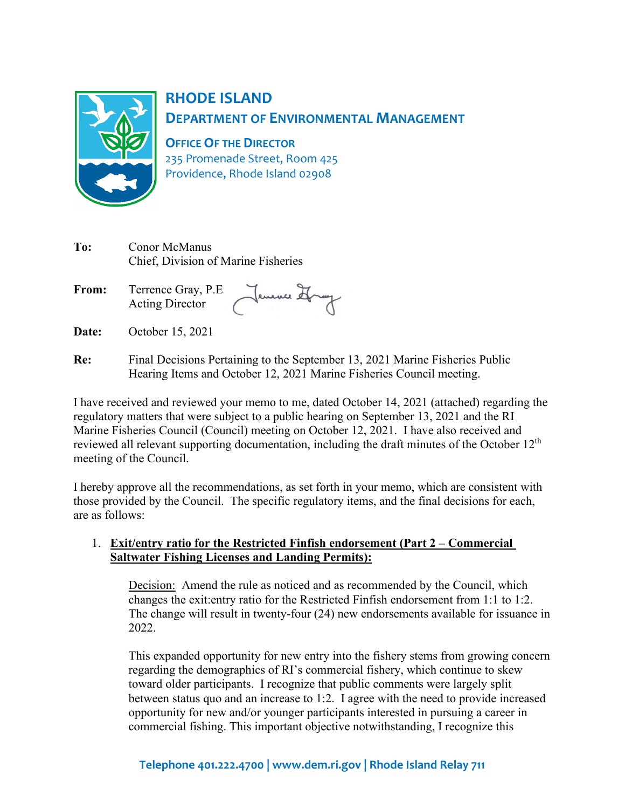

# **RHODE ISLAND DEPARTMENT OF ENVIRONMENTAL MANAGEMENT**

**OFFICE OF THE DIRECTOR** 235 Promenade Street, Room 425

Providence, Rhode Island 02908

| To:          | Conor McManus<br>Chief, Division of Marine Fisheries        |
|--------------|-------------------------------------------------------------|
| <b>From:</b> | Terrence Gray, P.E.<br>Jenence It<br><b>Acting Director</b> |
|              |                                                             |

- **Date:** October 15, 2021
- **Re:** Final Decisions Pertaining to the September 13, 2021 Marine Fisheries Public Hearing Items and October 12, 2021 Marine Fisheries Council meeting.

I have received and reviewed your memo to me, dated October 14, 2021 (attached) regarding the regulatory matters that were subject to a public hearing on September 13, 2021 and the RI Marine Fisheries Council (Council) meeting on October 12, 2021. I have also received and reviewed all relevant supporting documentation, including the draft minutes of the October 12<sup>th</sup> meeting of the Council.

I hereby approve all the recommendations, as set forth in your memo, which are consistent with those provided by the Council. The specific regulatory items, and the final decisions for each, are as follows:

## 1. **Exit/entry ratio for the Restricted Finfish endorsement (Part 2 – Commercial Saltwater Fishing Licenses and Landing Permits):**

Decision: Amend the rule as noticed and as recommended by the Council, which changes the exit:entry ratio for the Restricted Finfish endorsement from 1:1 to 1:2. The change will result in twenty-four (24) new endorsements available for issuance in 2022.

This expanded opportunity for new entry into the fishery stems from growing concern regarding the demographics of RI's commercial fishery, which continue to skew toward older participants. I recognize that public comments were largely split between status quo and an increase to 1:2. I agree with the need to provide increased opportunity for new and/or younger participants interested in pursuing a career in commercial fishing. This important objective notwithstanding, I recognize this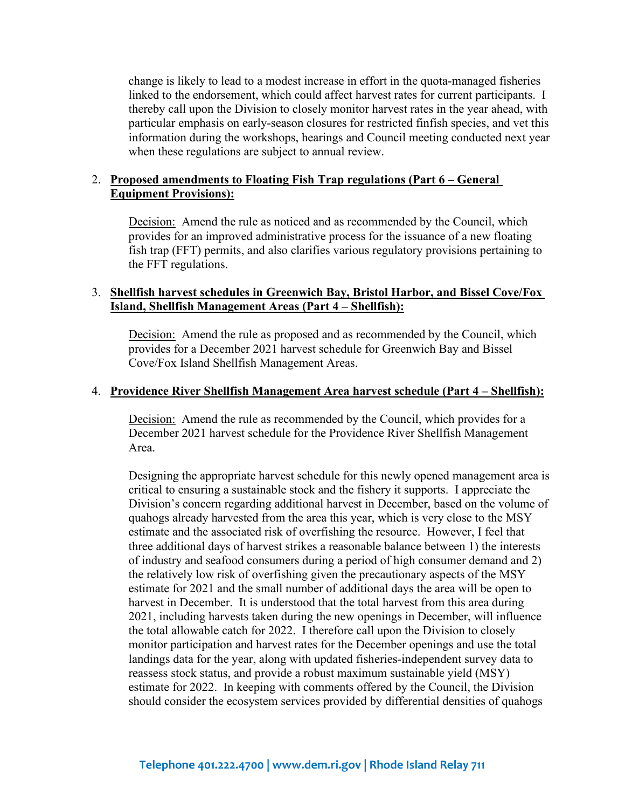change is likely to lead to a modest increase in effort in the quota-managed fisheries linked to the endorsement, which could affect harvest rates for current participants. I thereby call upon the Division to closely monitor harvest rates in the year ahead, with particular emphasis on early-season closures for restricted finfish species, and vet this information during the workshops, hearings and Council meeting conducted next year when these regulations are subject to annual review.

#### 2. **Proposed amendments to Floating Fish Trap regulations (Part 6 – General Equipment Provisions):**

Decision: Amend the rule as noticed and as recommended by the Council, which provides for an improved administrative process for the issuance of a new floating fish trap (FFT) permits, and also clarifies various regulatory provisions pertaining to the FFT regulations.

#### 3. **Shellfish harvest schedules in Greenwich Bay, Bristol Harbor, and Bissel Cove/Fox Island, Shellfish Management Areas (Part 4 – Shellfish):**

Decision: Amend the rule as proposed and as recommended by the Council, which provides for a December 2021 harvest schedule for Greenwich Bay and Bissel Cove/Fox Island Shellfish Management Areas.

#### 4. **Providence River Shellfish Management Area harvest schedule (Part 4 – Shellfish):**

Decision: Amend the rule as recommended by the Council, which provides for a December 2021 harvest schedule for the Providence River Shellfish Management Area.

Designing the appropriate harvest schedule for this newly opened management area is critical to ensuring a sustainable stock and the fishery it supports. I appreciate the Division's concern regarding additional harvest in December, based on the volume of quahogs already harvested from the area this year, which is very close to the MSY estimate and the associated risk of overfishing the resource. However, I feel that three additional days of harvest strikes a reasonable balance between 1) the interests of industry and seafood consumers during a period of high consumer demand and 2) the relatively low risk of overfishing given the precautionary aspects of the MSY estimate for 2021 and the small number of additional days the area will be open to harvest in December. It is understood that the total harvest from this area during 2021, including harvests taken during the new openings in December, will influence the total allowable catch for 2022. I therefore call upon the Division to closely monitor participation and harvest rates for the December openings and use the total landings data for the year, along with updated fisheries-independent survey data to reassess stock status, and provide a robust maximum sustainable yield (MSY) estimate for 2022. In keeping with comments offered by the Council, the Division should consider the ecosystem services provided by differential densities of quahogs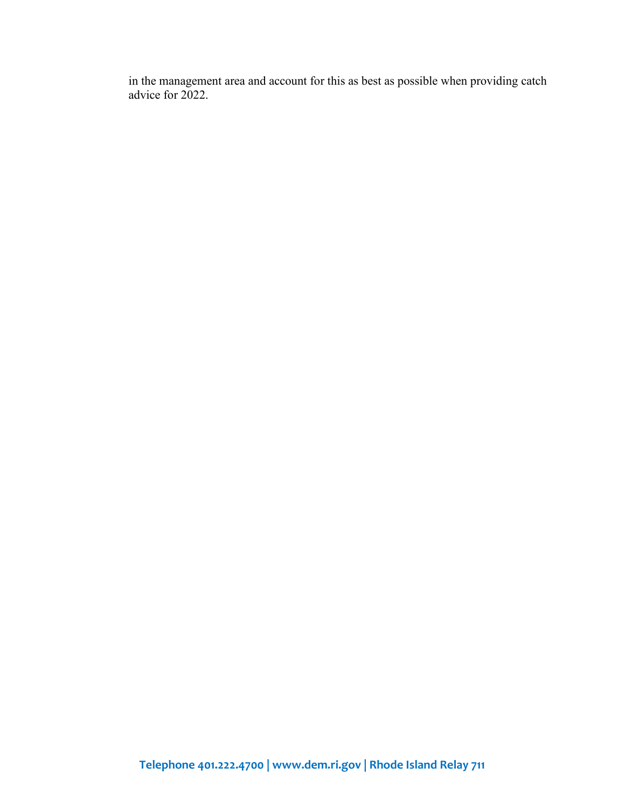in the management area and account for this as best as possible when providing catch advice for 2022.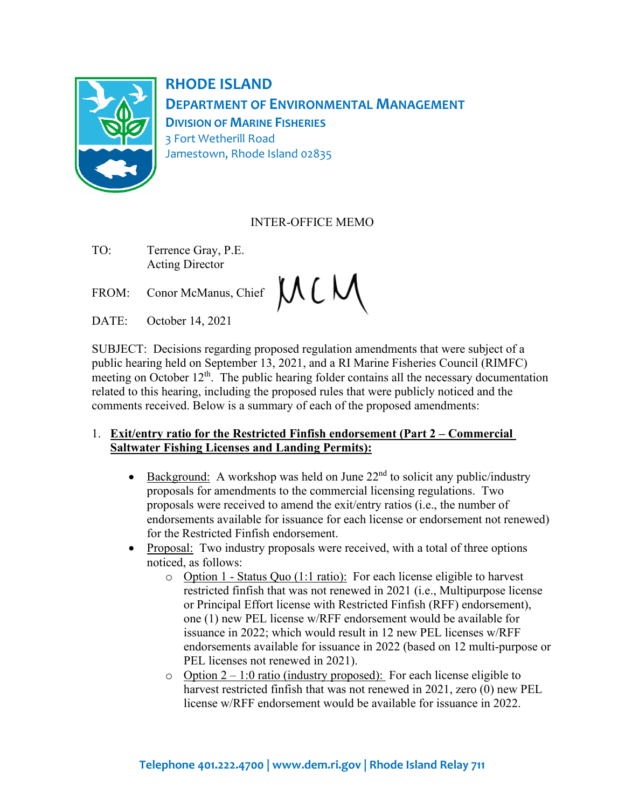

**RHODE ISLAND DEPARTMENT OF ENVIRONMENTAL MANAGEMENT DIVISION OF MARINE FISHERIES** 3 Fort Wetherill Road Jamestown, Rhode Island 02835

## INTER-OFFICE MEMO

- TO: Terrence Gray, P.E. Acting Director
- FROM: Conor McManus, Chief  $MCM$
- DATE: October 14, 2021

SUBJECT: Decisions regarding proposed regulation amendments that were subject of a public hearing held on September 13, 2021, and a RI Marine Fisheries Council (RIMFC) meeting on October  $12<sup>th</sup>$ . The public hearing folder contains all the necessary documentation related to this hearing, including the proposed rules that were publicly noticed and the comments received. Below is a summary of each of the proposed amendments:

#### 1. **Exit/entry ratio for the Restricted Finfish endorsement (Part 2 – Commercial Saltwater Fishing Licenses and Landing Permits):**

- Background: A workshop was held on June  $22<sup>nd</sup>$  to solicit any public/industry proposals for amendments to the commercial licensing regulations. Two proposals were received to amend the exit/entry ratios (i.e., the number of endorsements available for issuance for each license or endorsement not renewed) for the Restricted Finfish endorsement.
- Proposal: Two industry proposals were received, with a total of three options noticed, as follows:
	- o Option 1 Status Quo (1:1 ratio): For each license eligible to harvest restricted finfish that was not renewed in 2021 (i.e., Multipurpose license or Principal Effort license with Restricted Finfish (RFF) endorsement), one (1) new PEL license w/RFF endorsement would be available for issuance in 2022; which would result in 12 new PEL licenses w/RFF endorsements available for issuance in 2022 (based on 12 multi-purpose or PEL licenses not renewed in 2021).
	- $\circ$  Option 2 1:0 ratio (industry proposed): For each license eligible to harvest restricted finfish that was not renewed in 2021, zero (0) new PEL license w/RFF endorsement would be available for issuance in 2022.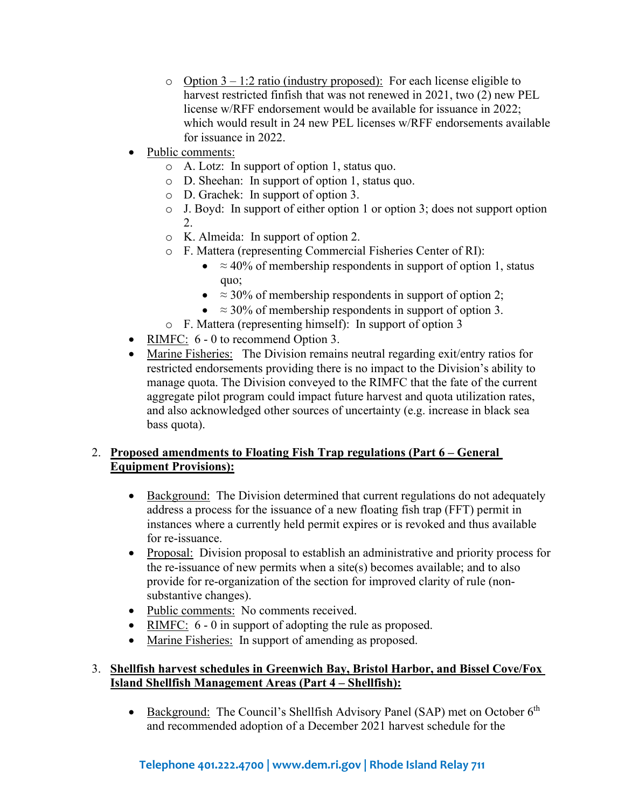- o Option  $3 1:2$  ratio (industry proposed): For each license eligible to harvest restricted finfish that was not renewed in 2021, two (2) new PEL license w/RFF endorsement would be available for issuance in 2022; which would result in 24 new PEL licenses w/RFF endorsements available for issuance in 2022.
- Public comments:
	- o A. Lotz: In support of option 1, status quo.
	- o D. Sheehan: In support of option 1, status quo.
	- o D. Grachek: In support of option 3.
	- o J. Boyd: In support of either option 1 or option 3; does not support option 2.
	- o K. Almeida: In support of option 2.
	- o F. Mattera (representing Commercial Fisheries Center of RI):<br>
	 $\approx 40\%$  of membership respondents in support of option
		- $\approx$  40% of membership respondents in support of option 1, status quo;
		- $\approx$  30% of membership respondents in support of option 2;
		- $\approx 30\%$  of membership respondents in support of option 3.
	- o F. Mattera (representing himself): In support of option 3
- RIMFC: 6 0 to recommend Option 3.
- Marine Fisheries: The Division remains neutral regarding exit/entry ratios for restricted endorsements providing there is no impact to the Division's ability to manage quota. The Division conveyed to the RIMFC that the fate of the current aggregate pilot program could impact future harvest and quota utilization rates, and also acknowledged other sources of uncertainty (e.g. increase in black sea bass quota).

## 2. **Proposed amendments to Floating Fish Trap regulations (Part 6 – General Equipment Provisions):**

- Background: The Division determined that current regulations do not adequately address a process for the issuance of a new floating fish trap (FFT) permit in instances where a currently held permit expires or is revoked and thus available for re-issuance.
- Proposal: Division proposal to establish an administrative and priority process for the re-issuance of new permits when a site(s) becomes available; and to also provide for re-organization of the section for improved clarity of rule (nonsubstantive changes).
- Public comments: No comments received.
- RIMFC:  $6 0$  in support of adopting the rule as proposed.
- Marine Fisheries: In support of amending as proposed.

## 3. **Shellfish harvest schedules in Greenwich Bay, Bristol Harbor, and Bissel Cove/Fox Island Shellfish Management Areas (Part 4 – Shellfish):**

• Background: The Council's Shellfish Advisory Panel (SAP) met on October 6<sup>th</sup> and recommended adoption of a December 2021 harvest schedule for the

# **Telephone 401.222.4700 | www.dem.ri.gov | Rhode Island Relay 711**